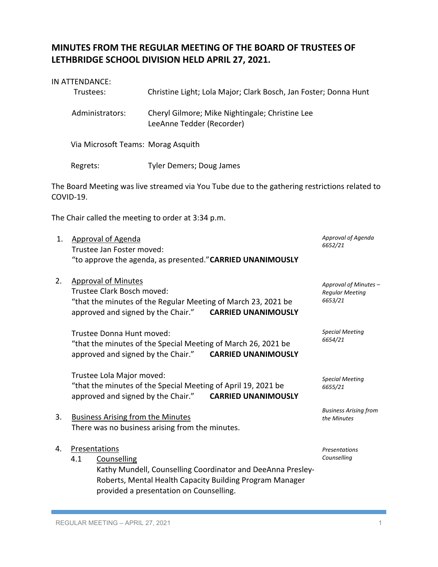## **MINUTES FROM THE REGULAR MEETING OF THE BOARD OF TRUSTEES OF LETHBRIDGE SCHOOL DIVISION HELD APRIL 27, 2021.**

|    | IN ATTENDANCE:<br>Trustees:                                                                                                                                                                         | Christine Light; Lola Major; Clark Bosch, Jan Foster; Donna Hunt                                                                                                   |                                                            |  |  |
|----|-----------------------------------------------------------------------------------------------------------------------------------------------------------------------------------------------------|--------------------------------------------------------------------------------------------------------------------------------------------------------------------|------------------------------------------------------------|--|--|
|    | Administrators:                                                                                                                                                                                     | Cheryl Gilmore; Mike Nightingale; Christine Lee<br>LeeAnne Tedder (Recorder)                                                                                       |                                                            |  |  |
|    | Via Microsoft Teams: Morag Asquith                                                                                                                                                                  |                                                                                                                                                                    |                                                            |  |  |
|    | Regrets:                                                                                                                                                                                            | <b>Tyler Demers; Doug James</b>                                                                                                                                    |                                                            |  |  |
|    | COVID-19.                                                                                                                                                                                           | The Board Meeting was live streamed via You Tube due to the gathering restrictions related to                                                                      |                                                            |  |  |
|    |                                                                                                                                                                                                     | The Chair called the meeting to order at 3:34 p.m.                                                                                                                 |                                                            |  |  |
| 1. | <b>Approval of Agenda</b><br>Trustee Jan Foster moved:<br>"to approve the agenda, as presented." CARRIED UNANIMOUSLY                                                                                | Approval of Agenda<br>6652/21                                                                                                                                      |                                                            |  |  |
| 2. | <b>Approval of Minutes</b><br>Trustee Clark Bosch moved:<br>approved and signed by the Chair."                                                                                                      | "that the minutes of the Regular Meeting of March 23, 2021 be<br><b>CARRIED UNANIMOUSLY</b>                                                                        | Approval of Minutes -<br><b>Regular Meeting</b><br>6653/21 |  |  |
|    | <b>Special Meeting</b><br>Trustee Donna Hunt moved:<br>6654/21<br>"that the minutes of the Special Meeting of March 26, 2021 be<br>approved and signed by the Chair."<br><b>CARRIED UNANIMOUSLY</b> |                                                                                                                                                                    |                                                            |  |  |
|    | Trustee Lola Major moved:<br>approved and signed by the Chair."                                                                                                                                     | "that the minutes of the Special Meeting of April 19, 2021 be<br><b>CARRIED UNANIMOUSLY</b>                                                                        | <b>Special Meeting</b><br>6655/21                          |  |  |
| 3. | <b>Business Arising from the Minutes</b>                                                                                                                                                            | There was no business arising from the minutes.                                                                                                                    | <b>Business Arising from</b><br>the Minutes                |  |  |
| 4. | Presentations<br>4.1<br>Counselling                                                                                                                                                                 | Kathy Mundell, Counselling Coordinator and DeeAnna Presley-<br>Roberts, Mental Health Capacity Building Program Manager<br>provided a presentation on Counselling. | <b>Presentations</b><br>Counselling                        |  |  |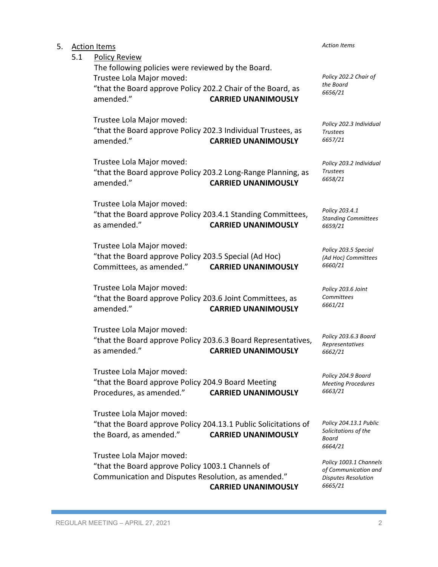| 5. | 5.1 | <b>Action Items</b><br><b>Policy Review</b>                                                                                                                 | <b>Action Items</b>        |                                                                                         |
|----|-----|-------------------------------------------------------------------------------------------------------------------------------------------------------------|----------------------------|-----------------------------------------------------------------------------------------|
|    |     | The following policies were reviewed by the Board.<br>Trustee Lola Major moved:<br>"that the Board approve Policy 202.2 Chair of the Board, as<br>amended." | <b>CARRIED UNANIMOUSLY</b> | Policy 202.2 Chair of<br>the Board<br>6656/21                                           |
|    |     | Trustee Lola Major moved:<br>"that the Board approve Policy 202.3 Individual Trustees, as<br>amended."                                                      | <b>CARRIED UNANIMOUSLY</b> | Policy 202.3 Individual<br><b>Trustees</b><br>6657/21                                   |
|    |     | Trustee Lola Major moved:<br>"that the Board approve Policy 203.2 Long-Range Planning, as<br>amended."                                                      | <b>CARRIED UNANIMOUSLY</b> | Policy 203.2 Individual<br><b>Trustees</b><br>6658/21                                   |
|    |     | Trustee Lola Major moved:<br>"that the Board approve Policy 203.4.1 Standing Committees,<br>as amended."                                                    | <b>CARRIED UNANIMOUSLY</b> | Policy 203.4.1<br><b>Standing Committees</b><br>6659/21                                 |
|    |     | Trustee Lola Major moved:<br>"that the Board approve Policy 203.5 Special (Ad Hoc)<br>Committees, as amended."                                              | <b>CARRIED UNANIMOUSLY</b> | Policy 203.5 Special<br>(Ad Hoc) Committees<br>6660/21                                  |
|    |     | Trustee Lola Major moved:<br>"that the Board approve Policy 203.6 Joint Committees, as<br>amended."                                                         | <b>CARRIED UNANIMOUSLY</b> | Policy 203.6 Joint<br>Committees<br>6661/21                                             |
|    |     | Trustee Lola Major moved:<br>"that the Board approve Policy 203.6.3 Board Representatives,<br>as amended."                                                  | <b>CARRIED UNANIMOUSLY</b> | Policy 203.6.3 Board<br>Representatives<br>6662/21                                      |
|    |     | Trustee Lola Major moved:<br>"that the Board approve Policy 204.9 Board Meeting<br>Procedures, as amended."                                                 | <b>CARRIED UNANIMOUSLY</b> | Policy 204.9 Board<br><b>Meeting Procedures</b><br>6663/21                              |
|    |     | Trustee Lola Major moved:<br>"that the Board approve Policy 204.13.1 Public Solicitations of<br>the Board, as amended."                                     | <b>CARRIED UNANIMOUSLY</b> | Policy 204.13.1 Public<br>Solicitations of the<br>Board<br>6664/21                      |
|    |     | Trustee Lola Major moved:<br>"that the Board approve Policy 1003.1 Channels of<br>Communication and Disputes Resolution, as amended."                       | <b>CARRIED UNANIMOUSLY</b> | Policy 1003.1 Channels<br>of Communication and<br><b>Disputes Resolution</b><br>6665/21 |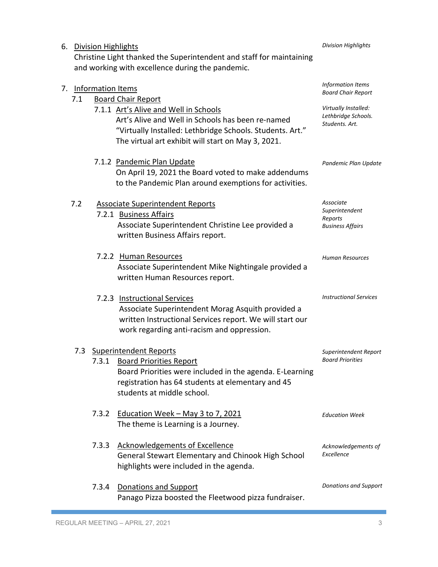|                                                                                                                          | 6. Division Highlights                            |                                                                                                                                                                                                                |                                                                   |
|--------------------------------------------------------------------------------------------------------------------------|---------------------------------------------------|----------------------------------------------------------------------------------------------------------------------------------------------------------------------------------------------------------------|-------------------------------------------------------------------|
| Christine Light thanked the Superintendent and staff for maintaining<br>and working with excellence during the pandemic. |                                                   |                                                                                                                                                                                                                |                                                                   |
| 7.1                                                                                                                      | 7. Information Items<br><b>Board Chair Report</b> |                                                                                                                                                                                                                | Information Items<br><b>Board Chair Report</b>                    |
|                                                                                                                          |                                                   | 7.1.1 Art's Alive and Well in Schools<br>Art's Alive and Well in Schools has been re-named<br>"Virtually Installed: Lethbridge Schools. Students. Art."<br>The virtual art exhibit will start on May 3, 2021.  | Virtually Installed:<br>Lethbridge Schools.<br>Students. Art.     |
|                                                                                                                          |                                                   | 7.1.2 Pandemic Plan Update<br>On April 19, 2021 the Board voted to make addendums<br>to the Pandemic Plan around exemptions for activities.                                                                    | Pandemic Plan Update                                              |
| 7.2                                                                                                                      |                                                   | <b>Associate Superintendent Reports</b><br>7.2.1 Business Affairs<br>Associate Superintendent Christine Lee provided a<br>written Business Affairs report.                                                     | Associate<br>Superintendent<br>Reports<br><b>Business Affairs</b> |
|                                                                                                                          |                                                   | 7.2.2 Human Resources<br>Associate Superintendent Mike Nightingale provided a<br>written Human Resources report.                                                                                               | Human Resources                                                   |
|                                                                                                                          |                                                   | 7.2.3 Instructional Services<br>Associate Superintendent Morag Asquith provided a<br>written Instructional Services report. We will start our<br>work regarding anti-racism and oppression.                    | <b>Instructional Services</b>                                     |
| 7.3                                                                                                                      | 7.3.1                                             | <b>Superintendent Reports</b><br><b>Board Priorities Report</b><br>Board Priorities were included in the agenda. E-Learning<br>registration has 64 students at elementary and 45<br>students at middle school. | Superintendent Report<br><b>Board Priorities</b>                  |
|                                                                                                                          | 7.3.2                                             | Education Week - May 3 to 7, 2021<br>The theme is Learning is a Journey.                                                                                                                                       | <b>Education Week</b>                                             |
|                                                                                                                          | 7.3.3                                             | <b>Acknowledgements of Excellence</b><br>General Stewart Elementary and Chinook High School<br>highlights were included in the agenda.                                                                         | Acknowledgements of<br>Excellence                                 |
|                                                                                                                          | 7.3.4                                             | Donations and Support<br>Panago Pizza boosted the Fleetwood pizza fundraiser.                                                                                                                                  | <b>Donations and Support</b>                                      |